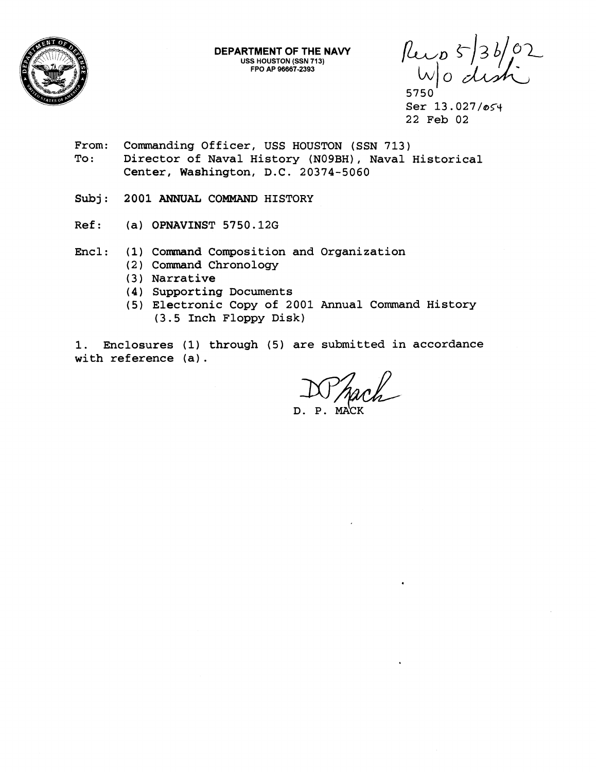

**DEPARTMENT OF THE NAVY USS HOUSTON (SSN 713) FPO AP 966872393** 

 $\n *l*uv_0 5/36/02  
\n *l*v_0 2  
\n 5750$ 

Ser 13.027/054 22 Feb 02

- From: Commanding Officer, USS HOUSTON (SSN 713) To: Director of Naval History (NO9BH), Naval Historical Center, Washington, D.C. 20374-5060
- Subj : **2001** ANNUAL COMMAND HISTORY
- Ref: **(a)** OPNAVINST 5750.12G
- Encl: **(1)** Cormand Composition and Organization
	- (2) Command Chronology
	- (3) Narrative
	- **(4)** Supporting Documents
	- (5) Electronic Copy of 2001 Annual Command History (3.5 Inch Floppy Disk)

1. Enclosures (1) through (5) are submitted in accordance with reference (a) .

D. P. M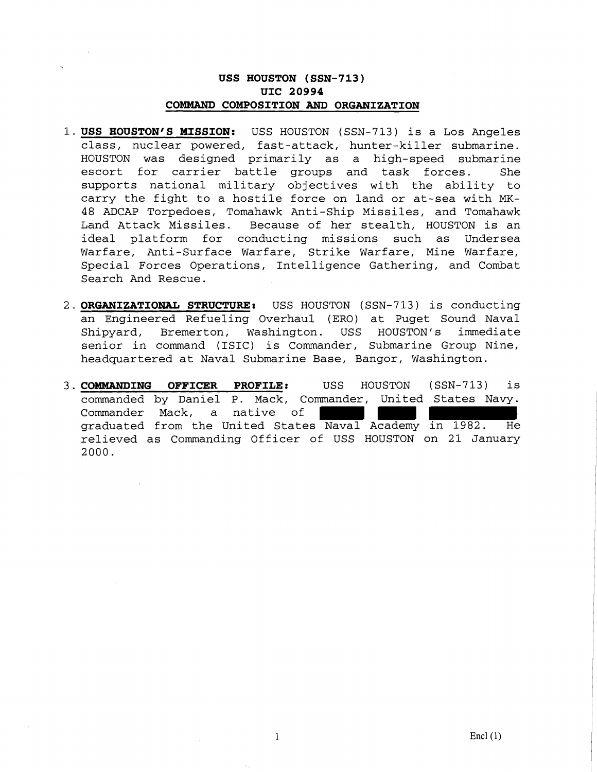### **USS HOUSTON (SSN-713) UIC 20994 COMMAND COMPOSITION AND ORGANIZATION**

- **1.USS HOUSTON'S MISSION:** USS HOUSTON (SSN-713) is a Los Angeles class, nuclear powered, fast-attack, hunter-killer submarine. HOUSTON was designed primarily as a high-speed submarine escort for carrier battle groups and task forces. She supports national military objectives with the ability to carry the fight to a hostile force on land or at-sea with MK-48 ADCAP Torpedoes, Tomahawk Anti-Ship Missiles, and Tomahawk Land Attack Missiles. Because of her stealth, HOUSTON is an ideal platform for conducting missions such as Undersea Warfare, Anti-Surface Warfare, Strike Warfare, Mine Warfare, Special Forces Operations, Intelligence Gathering, and Combat Search And Rescue.
- 2. **ORGANIZATIONAL STRUCTURE:** USS HOUSTON (SSN-713) is conducting an Engineered Refueling Overhaul (ERO) at Puget Sound Naval Shipyard, Bremerton, Washington. USS HOUSTON'S immediate senior in command (ISIC) is Commander, Submarine Group Nine, headquartered at Naval Submarine Base, Bangor, Washington.
- 3. COMMANDING OFFICER PROFILE: USS HOUSTON (SSN-713) is commanded by Daniel P. Mack, Commander, United States Navy. Commander Mack, a native of graduated from the United States Naval Academy in 1982. He relieved as Commanding Officer of USS HOUSTON on 21 January 2000.

 $\mathbf{1}$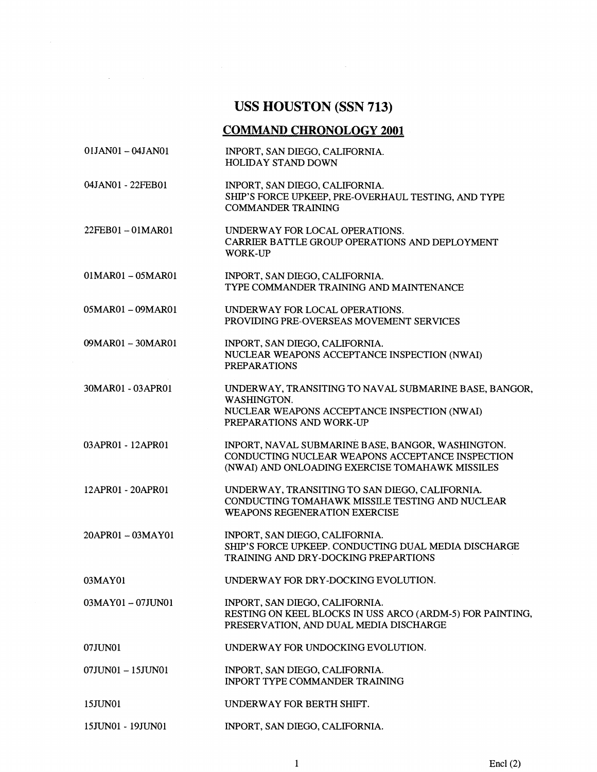# **USS HOUSTON (SSN 713)**

 $\label{eq:2.1} \frac{1}{\sqrt{2}}\int_{\mathbb{R}^3} \frac{1}{\sqrt{2}}\left(\frac{1}{\sqrt{2}}\right)^2\frac{1}{\sqrt{2}}\left(\frac{1}{\sqrt{2}}\right)^2\frac{1}{\sqrt{2}}\left(\frac{1}{\sqrt{2}}\right)^2.$ 

 $\label{eq:2.1} \frac{1}{\sqrt{2}}\int_{\mathbb{R}^3}\frac{1}{\sqrt{2}}\left(\frac{1}{\sqrt{2}}\right)^2\frac{1}{\sqrt{2}}\left(\frac{1}{\sqrt{2}}\right)^2\frac{1}{\sqrt{2}}\left(\frac{1}{\sqrt{2}}\right)^2.$ 

## **COMMAND CHRONOLOGY 2001**

| 01JAN01 - 04JAN01   | INPORT, SAN DIEGO, CALIFORNIA.<br>HOLIDAY STAND DOWN                                                                                                     |
|---------------------|----------------------------------------------------------------------------------------------------------------------------------------------------------|
| 04JAN01 - 22FEB01   | INPORT, SAN DIEGO, CALIFORNIA.<br>SHIP'S FORCE UPKEEP, PRE-OVERHAUL TESTING, AND TYPE<br><b>COMMANDER TRAINING</b>                                       |
| 22FEB01-01MAR01     | UNDERWAY FOR LOCAL OPERATIONS.<br>CARRIER BATTLE GROUP OPERATIONS AND DEPLOYMENT<br><b>WORK-UP</b>                                                       |
| $01MAR01 - 05MAR01$ | INPORT, SAN DIEGO, CALIFORNIA.<br>TYPE COMMANDER TRAINING AND MAINTENANCE                                                                                |
| 05MAR01-09MAR01     | UNDERWAY FOR LOCAL OPERATIONS.<br>PROVIDING PRE-OVERSEAS MOVEMENT SERVICES                                                                               |
| 09MAR01 - 30MAR01   | INPORT, SAN DIEGO, CALIFORNIA.<br>NUCLEAR WEAPONS ACCEPTANCE INSPECTION (NWAI)<br><b>PREPARATIONS</b>                                                    |
| 30MAR01 - 03APR01   | UNDERWAY, TRANSITING TO NAVAL SUBMARINE BASE, BANGOR,<br>WASHINGTON.<br>NUCLEAR WEAPONS ACCEPTANCE INSPECTION (NWAI)<br>PREPARATIONS AND WORK-UP         |
| 03APR01 - 12APR01   | INPORT, NAVAL SUBMARINE BASE, BANGOR, WASHINGTON.<br>CONDUCTING NUCLEAR WEAPONS ACCEPTANCE INSPECTION<br>(NWAI) AND ONLOADING EXERCISE TOMAHAWK MISSILES |
| 12APR01 - 20APR01   | UNDERWAY, TRANSITING TO SAN DIEGO, CALIFORNIA.<br>CONDUCTING TOMAHAWK MISSILE TESTING AND NUCLEAR<br><b>WEAPONS REGENERATION EXERCISE</b>                |
| 20APR01-03MAY01     | INPORT, SAN DIEGO, CALIFORNIA.<br>SHIP'S FORCE UPKEEP. CONDUCTING DUAL MEDIA DISCHARGE<br>TRAINING AND DRY-DOCKING PREPARTIONS                           |
| 03MAY01             | UNDERWAY FOR DRY-DOCKING EVOLUTION.                                                                                                                      |
| $03MAY01 - 07JUN01$ | INPORT, SAN DIEGO, CALIFORNIA.<br>RESTING ON KEEL BLOCKS IN USS ARCO (ARDM-5) FOR PAINTING,<br>PRESERVATION, AND DUAL MEDIA DISCHARGE                    |
| 07JUN01             | UNDERWAY FOR UNDOCKING EVOLUTION.                                                                                                                        |
| 07JUN01 - 15JUN01   | INPORT, SAN DIEGO, CALIFORNIA.<br><b>INPORT TYPE COMMANDER TRAINING</b>                                                                                  |
| 15JUN01             | UNDERWAY FOR BERTH SHIFT.                                                                                                                                |
| 15JUN01 - 19JUN01   | INPORT, SAN DIEGO, CALIFORNIA.                                                                                                                           |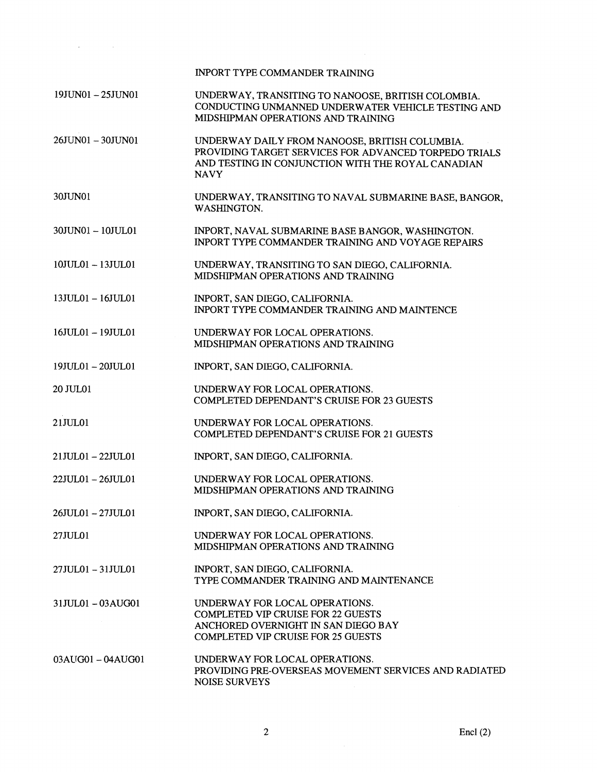|                   | <b>INPORT TYPE COMMANDER TRAINING</b>                                                                                                                                        |
|-------------------|------------------------------------------------------------------------------------------------------------------------------------------------------------------------------|
| 19JUN01-25JUN01   | UNDERWAY, TRANSITING TO NANOOSE, BRITISH COLOMBIA.<br>CONDUCTING UNMANNED UNDERWATER VEHICLE TESTING AND<br>MIDSHIPMAN OPERATIONS AND TRAINING                               |
| 26JUN01-30JUN01   | UNDERWAY DAILY FROM NANOOSE, BRITISH COLUMBIA.<br>PROVIDING TARGET SERVICES FOR ADVANCED TORPEDO TRIALS<br>AND TESTING IN CONJUNCTION WITH THE ROYAL CANADIAN<br><b>NAVY</b> |
| 30JUN01           | UNDERWAY, TRANSITING TO NAVAL SUBMARINE BASE, BANGOR,<br>WASHINGTON.                                                                                                         |
| 30JUN01 - 10JUL01 | INPORT, NAVAL SUBMARINE BASE BANGOR, WASHINGTON.<br><b>INPORT TYPE COMMANDER TRAINING AND VOYAGE REPAIRS</b>                                                                 |
| 10JUL01 - 13JUL01 | UNDERWAY, TRANSITING TO SAN DIEGO, CALIFORNIA.<br>MIDSHIPMAN OPERATIONS AND TRAINING                                                                                         |
| 13JUL01-16JUL01   | INPORT, SAN DIEGO, CALIFORNIA.<br><b>INPORT TYPE COMMANDER TRAINING AND MAINTENCE</b>                                                                                        |
| 16JUL01-19JUL01   | UNDERWAY FOR LOCAL OPERATIONS.<br>MIDSHIPMAN OPERATIONS AND TRAINING                                                                                                         |
| 19JUL01-20JUL01   | INPORT, SAN DIEGO, CALIFORNIA.                                                                                                                                               |
| 20 JUL01          | UNDERWAY FOR LOCAL OPERATIONS.<br><b>COMPLETED DEPENDANT'S CRUISE FOR 23 GUESTS</b>                                                                                          |
| 21JUL01           | UNDERWAY FOR LOCAL OPERATIONS.<br><b>COMPLETED DEPENDANT'S CRUISE FOR 21 GUESTS</b>                                                                                          |
| 21JUL01-22JUL01   | INPORT, SAN DIEGO, CALIFORNIA.                                                                                                                                               |
| 22JUL01-26JUL01   | UNDERWAY FOR LOCAL OPERATIONS.<br>MIDSHIPMAN OPERATIONS AND TRAINING                                                                                                         |
| 26JUL01-27JUL01   | INPORT, SAN DIEGO, CALIFORNIA.                                                                                                                                               |
| 27JUL01           | UNDERWAY FOR LOCAL OPERATIONS.<br>MIDSHIPMAN OPERATIONS AND TRAINING                                                                                                         |
| 27JUL01 - 31JUL01 | INPORT, SAN DIEGO, CALIFORNIA.<br>TYPE COMMANDER TRAINING AND MAINTENANCE                                                                                                    |
| 31JUL01-03AUG01   | UNDERWAY FOR LOCAL OPERATIONS.<br><b>COMPLETED VIP CRUISE FOR 22 GUESTS</b><br>ANCHORED OVERNIGHT IN SAN DIEGO BAY<br><b>COMPLETED VIP CRUISE FOR 25 GUESTS</b>              |
| 03AUG01-04AUG01   | UNDERWAY FOR LOCAL OPERATIONS.<br>PROVIDING PRE-OVERSEAS MOVEMENT SERVICES AND RADIATED<br><b>NOISE SURVEYS</b>                                                              |

 $\mathcal{L}$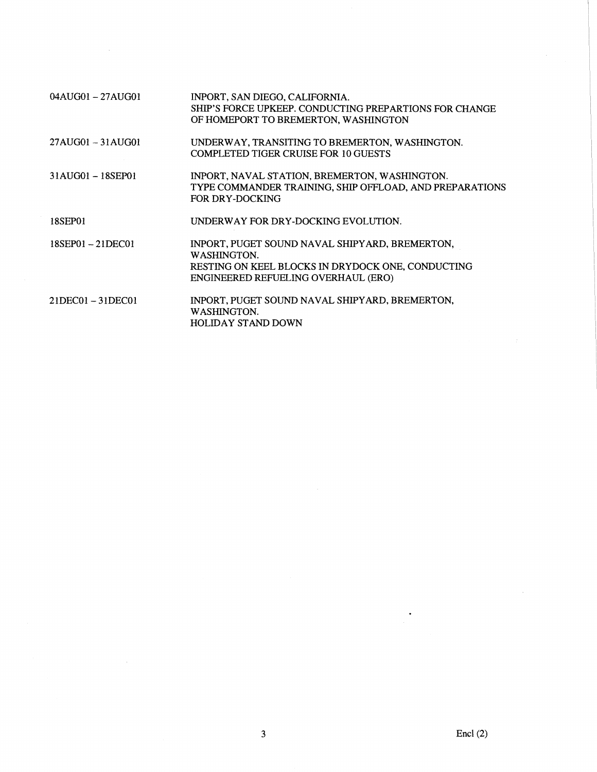| $04AU$ G $01 - 27$ AUG $01$     | INPORT, SAN DIEGO, CALIFORNIA.<br>SHIP'S FORCE UPKEEP. CONDUCTING PREPARTIONS FOR CHANGE<br>OF HOMEPORT TO BREMERTON, WASHINGTON                          |
|---------------------------------|-----------------------------------------------------------------------------------------------------------------------------------------------------------|
| $27 \text{AU}$ G01 $-$ 31 AUG01 | UNDERWAY, TRANSITING TO BREMERTON, WASHINGTON.<br><b>COMPLETED TIGER CRUISE FOR 10 GUESTS</b>                                                             |
| 31AUG01-18SEP01                 | INPORT, NAVAL STATION, BREMERTON, WASHINGTON.<br>TYPE COMMANDER TRAINING, SHIP OFFLOAD, AND PREPARATIONS<br>FOR DRY-DOCKING                               |
| 18SEP01                         | UNDERWAY FOR DRY-DOCKING EVOLUTION.                                                                                                                       |
| $18$ SEP01 $-21$ DEC01          | INPORT, PUGET SOUND NAVAL SHIPYARD, BREMERTON,<br>WASHINGTON.<br>RESTING ON KEEL BLOCKS IN DRYDOCK ONE, CONDUCTING<br>ENGINEERED REFUELING OVERHAUL (ERO) |
| $21DECO1 - 31DECO1$             | INPORT, PUGET SOUND NAVAL SHIPYARD, BREMERTON,<br>WASHINGTON.<br><b>HOLIDAY STAND DOWN</b>                                                                |

 $\ddot{\phantom{0}}$ 

l,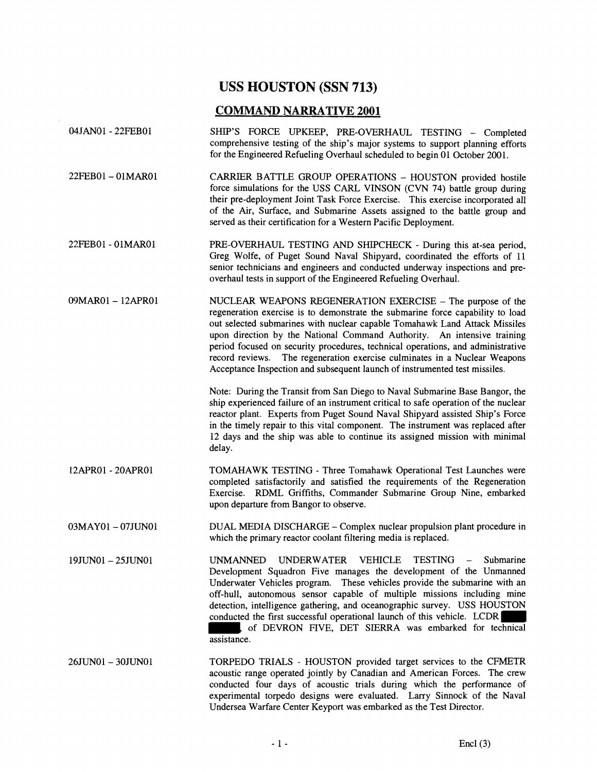### **USS HOUSTON (SSN 713)**

#### **COMMAND NARRATIVE 2001**

- 04JAN01 22FEB01 SHIP'S FORCE UPKEEP, PRE-OVERHAUL TESTING - Completed comprehensive testing of the ship's major systems to support planning efforts for the Engineered Refueling Overhaul scheduled to begin 01 October 2001.
- 22FEB01-01MAR01 CARRIER BATTLE GROUP OPERATIONS - HOUSTON provided hostile force simulations for the USS CARL VINSON (CVN 74) battle group during their pre-deployment Joint Task Force Exercise. This exercise incorporated all of the **Air,** Surface, and Submarine Assets assigned to the battle group and served as their certification for a Western Pacific Deployment.
- 22FEB01 01MAR01 PRE-OVERHAUL TESTING AND SHIPCHECK During this at-sea period, Greg Wolfe, of Puget Sound Naval Shipyard, coordinated the efforts of 11 senior technicians and engineers and conducted underway inspections and preoverhaul tests in support of the Engineered Refueling Overhaul.
- 09MAR01 12APR01 NUCLEAR WEAPONS REGENERATION EXERCISE The purpose of the regeneration exercise is to demonstrate the submarine force capability to load out selected submarines with nuclear capable Tomahawk Land Attack Missiles upon direction by the National Command Authority. An intensive training period focused on security procedures, technical operations, and administrative record reviews. The regeneration exercise culminates in a Nuclear Weapons Acceptance Inspection and subsequent launch of instrumented test missiles.

Note: During the Transit from San Diego to Naval Submarine Base Bangor, the ship experienced failure of an instrument critical to safe operation of the nuclear reactor plant. Experts from Puget Sound Naval Shipyard assisted Ship's Force in the timely repair to this vital component. The instrument was replaced after 12 days and the ship was able to continue its assigned mission with minimal delay.

- 12APR01 20APR01 TOMAHAWK TESTING Three Tomahawk Operational Test Launches were completed satisfactorily and satisfied the requirements of the Regeneration Exercise. RDML Griffiths, Commander Submarine Group Nine, embarked upon departure from Bangor to observe.
- 03MAY01 07JUN01 DUAL MEDIA DISCHARGE Complex nuclear propulsion plant procedure in which the primary reactor coolant filtering media is replaced.
- 19JUNOl- 25JUN01 UNMANNED UNDERWATER VEHICLE TESTING Submarine Development Squadron Five manages the development of the Unmanned Underwater Vehicles program. These vehicles provide the submarine with an off-hull, autonomous sensor capable of multiple missions including mine detection, intelligence gathering, and oceanographic survey. USS HOUSTON conducted the first successful operational launch of this vehicle. LCDR , of DEVRON FIVE, DET SIERRA was embarked for technical assistance.

26JUNO1- 3OJUNO1 TORPEDO TRIALS - HOUSTON provided target services to the CFMETR acoustic range operated jointly by Canadian and American Forces. The crew conducted four days of acoustic trials during which the performance of experimental torpedo designs were evaluated. Larry Sinnock of the Naval Undersea Warfare Center Keyport was embarked as the Test Director.